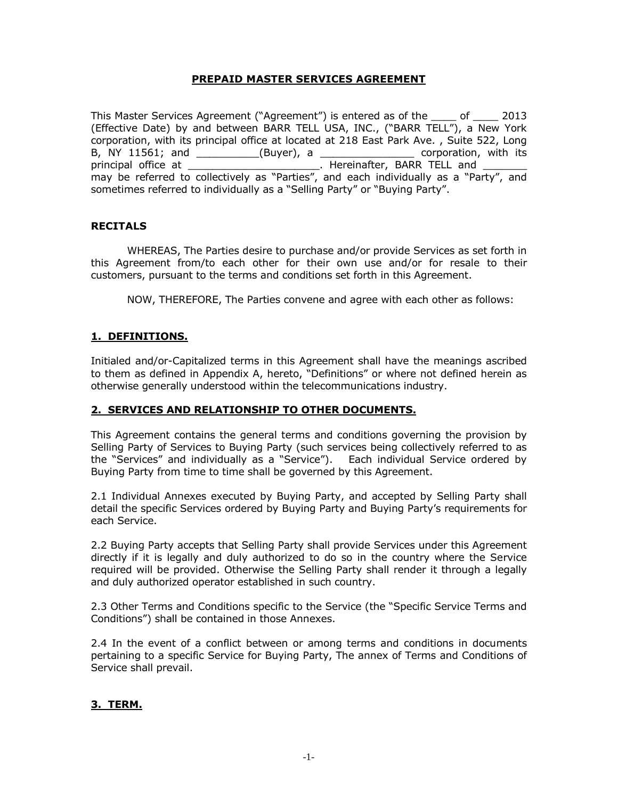#### **PREPAID MASTER SERVICES AGREEMENT**

This Master Services Agreement ("Agreement") is entered as of the \_\_\_\_ of \_\_\_\_ 2013 (Effective Date) by and between BARR TELL USA, INC., ("BARR TELL"), a New York corporation, with its principal office at located at 218 East Park Ave. , Suite 522, Long B, NY 11561; and \_\_\_\_\_\_\_\_\_\_\_(Buyer), a \_\_\_\_\_\_\_\_\_\_\_\_\_\_\_\_\_\_\_ corporation, with its principal office at \_\_\_\_\_\_\_\_\_\_\_\_\_\_\_\_\_\_\_\_\_\_\_\_\_. Hereinafter, BARR TELL and \_\_\_\_\_\_\_\_ may be referred to collectively as "Parties", and each individually as a "Party", and sometimes referred to individually as a "Selling Party" or "Buying Party".

#### **RECITALS**

WHEREAS, The Parties desire to purchase and/or provide Services as set forth in this Agreement from/to each other for their own use and/or for resale to their customers, pursuant to the terms and conditions set forth in this Agreement.

NOW, THEREFORE, The Parties convene and agree with each other as follows:

#### **1. DEFINITIONS.**

Initialed and/or-Capitalized terms in this Agreement shall have the meanings ascribed to them as defined in Appendix A, hereto, "Definitions" or where not defined herein as otherwise generally understood within the telecommunications industry.

#### **2. SERVICES AND RELATIONSHIP TO OTHER DOCUMENTS.**

This Agreement contains the general terms and conditions governing the provision by Selling Party of Services to Buying Party (such services being collectively referred to as the "Services" and individually as a "Service"). Each individual Service ordered by Buying Party from time to time shall be governed by this Agreement.

2.1 Individual Annexes executed by Buying Party, and accepted by Selling Party shall detail the specific Services ordered by Buying Party and Buying Party's requirements for each Service.

2.2 Buying Party accepts that Selling Party shall provide Services under this Agreement directly if it is legally and duly authorized to do so in the country where the Service required will be provided. Otherwise the Selling Party shall render it through a legally and duly authorized operator established in such country.

2.3 Other Terms and Conditions specific to the Service (the "Specific Service Terms and Conditions") shall be contained in those Annexes.

2.4 In the event of a conflict between or among terms and conditions in documents pertaining to a specific Service for Buying Party, The annex of Terms and Conditions of Service shall prevail.

#### **3. TERM.**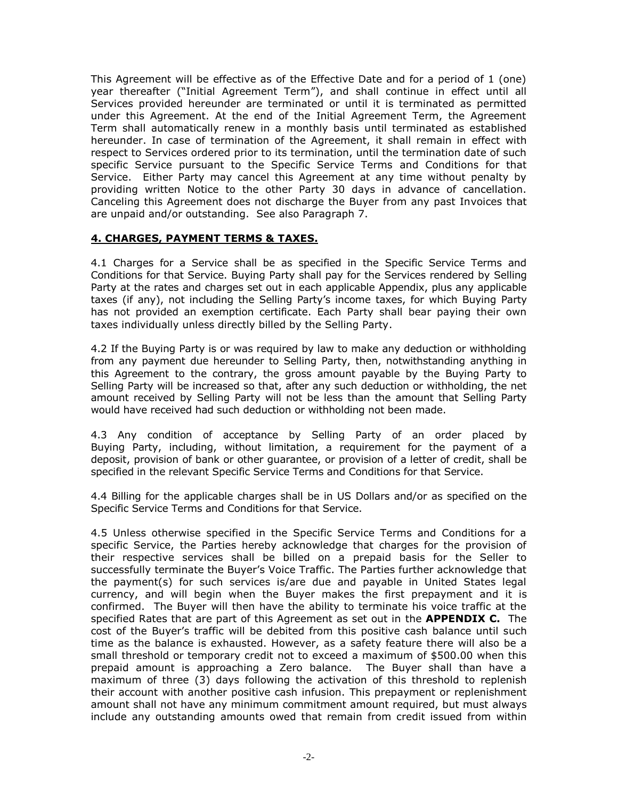This Agreement will be effective as of the Effective Date and for a period of 1 (one) year thereafter ("Initial Agreement Term"), and shall continue in effect until all Services provided hereunder are terminated or until it is terminated as permitted under this Agreement. At the end of the Initial Agreement Term, the Agreement Term shall automatically renew in a monthly basis until terminated as established hereunder. In case of termination of the Agreement, it shall remain in effect with respect to Services ordered prior to its termination, until the termination date of such specific Service pursuant to the Specific Service Terms and Conditions for that Service. Either Party may cancel this Agreement at any time without penalty by providing written Notice to the other Party 30 days in advance of cancellation. Canceling this Agreement does not discharge the Buyer from any past Invoices that are unpaid and/or outstanding. See also Paragraph 7.

#### **4. CHARGES, PAYMENT TERMS & TAXES.**

4.1 Charges for a Service shall be as specified in the Specific Service Terms and Conditions for that Service. Buying Party shall pay for the Services rendered by Selling Party at the rates and charges set out in each applicable Appendix, plus any applicable taxes (if any), not including the Selling Party's income taxes, for which Buying Party has not provided an exemption certificate. Each Party shall bear paying their own taxes individually unless directly billed by the Selling Party.

4.2 If the Buying Party is or was required by law to make any deduction or withholding from any payment due hereunder to Selling Party, then, notwithstanding anything in this Agreement to the contrary, the gross amount payable by the Buying Party to Selling Party will be increased so that, after any such deduction or withholding, the net amount received by Selling Party will not be less than the amount that Selling Party would have received had such deduction or withholding not been made.

4.3 Any condition of acceptance by Selling Party of an order placed by Buying Party, including, without limitation, a requirement for the payment of a deposit, provision of bank or other guarantee, or provision of a letter of credit, shall be specified in the relevant Specific Service Terms and Conditions for that Service.

4.4 Billing for the applicable charges shall be in US Dollars and/or as specified on the Specific Service Terms and Conditions for that Service.

4.5 Unless otherwise specified in the Specific Service Terms and Conditions for a specific Service, the Parties hereby acknowledge that charges for the provision of their respective services shall be billed on a prepaid basis for the Seller to successfully terminate the Buyer's Voice Traffic. The Parties further acknowledge that the payment(s) for such services is/are due and payable in United States legal currency, and will begin when the Buyer makes the first prepayment and it is confirmed. The Buyer will then have the ability to terminate his voice traffic at the specified Rates that are part of this Agreement as set out in the **APPENDIX C.** The cost of the Buyer's traffic will be debited from this positive cash balance until such time as the balance is exhausted. However, as a safety feature there will also be a small threshold or temporary credit not to exceed a maximum of \$500.00 when this prepaid amount is approaching a Zero balance. The Buyer shall than have a maximum of three (3) days following the activation of this threshold to replenish their account with another positive cash infusion. This prepayment or replenishment amount shall not have any minimum commitment amount required, but must always include any outstanding amounts owed that remain from credit issued from within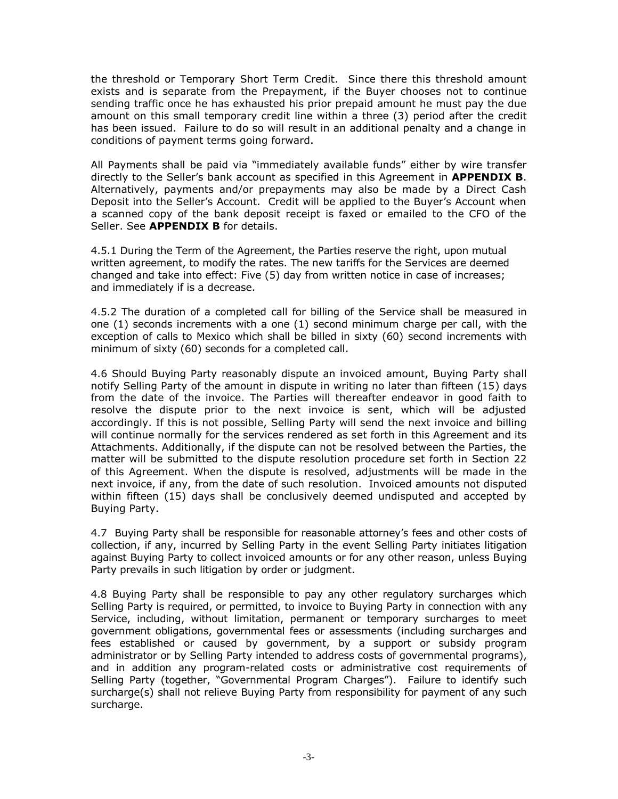the threshold or Temporary Short Term Credit. Since there this threshold amount exists and is separate from the Prepayment, if the Buyer chooses not to continue sending traffic once he has exhausted his prior prepaid amount he must pay the due amount on this small temporary credit line within a three (3) period after the credit has been issued. Failure to do so will result in an additional penalty and a change in conditions of payment terms going forward.

All Payments shall be paid via "immediately available funds" either by wire transfer directly to the Seller's bank account as specified in this Agreement in **APPENDIX B**. Alternatively, payments and/or prepayments may also be made by a Direct Cash Deposit into the Seller's Account. Credit will be applied to the Buyer's Account when a scanned copy of the bank deposit receipt is faxed or emailed to the CFO of the Seller. See **APPENDIX B** for details.

4.5.1 During the Term of the Agreement, the Parties reserve the right, upon mutual written agreement, to modify the rates. The new tariffs for the Services are deemed changed and take into effect: Five (5) day from written notice in case of increases; and immediately if is a decrease.

4.5.2 The duration of a completed call for billing of the Service shall be measured in one (1) seconds increments with a one (1) second minimum charge per call, with the exception of calls to Mexico which shall be billed in sixty (60) second increments with minimum of sixty (60) seconds for a completed call.

4.6 Should Buying Party reasonably dispute an invoiced amount, Buying Party shall notify Selling Party of the amount in dispute in writing no later than fifteen (15) days from the date of the invoice. The Parties will thereafter endeavor in good faith to resolve the dispute prior to the next invoice is sent, which will be adjusted accordingly. If this is not possible, Selling Party will send the next invoice and billing will continue normally for the services rendered as set forth in this Agreement and its Attachments. Additionally, if the dispute can not be resolved between the Parties, the matter will be submitted to the dispute resolution procedure set forth in Section 22 of this Agreement. When the dispute is resolved, adjustments will be made in the next invoice, if any, from the date of such resolution. Invoiced amounts not disputed within fifteen (15) days shall be conclusively deemed undisputed and accepted by Buying Party.

4.7 Buying Party shall be responsible for reasonable attorney's fees and other costs of collection, if any, incurred by Selling Party in the event Selling Party initiates litigation against Buying Party to collect invoiced amounts or for any other reason, unless Buying Party prevails in such litigation by order or judgment.

4.8 Buying Party shall be responsible to pay any other regulatory surcharges which Selling Party is required, or permitted, to invoice to Buying Party in connection with any Service, including, without limitation, permanent or temporary surcharges to meet government obligations, governmental fees or assessments (including surcharges and fees established or caused by government, by a support or subsidy program administrator or by Selling Party intended to address costs of governmental programs), and in addition any program-related costs or administrative cost requirements of Selling Party (together, "Governmental Program Charges"). Failure to identify such surcharge(s) shall not relieve Buying Party from responsibility for payment of any such surcharge.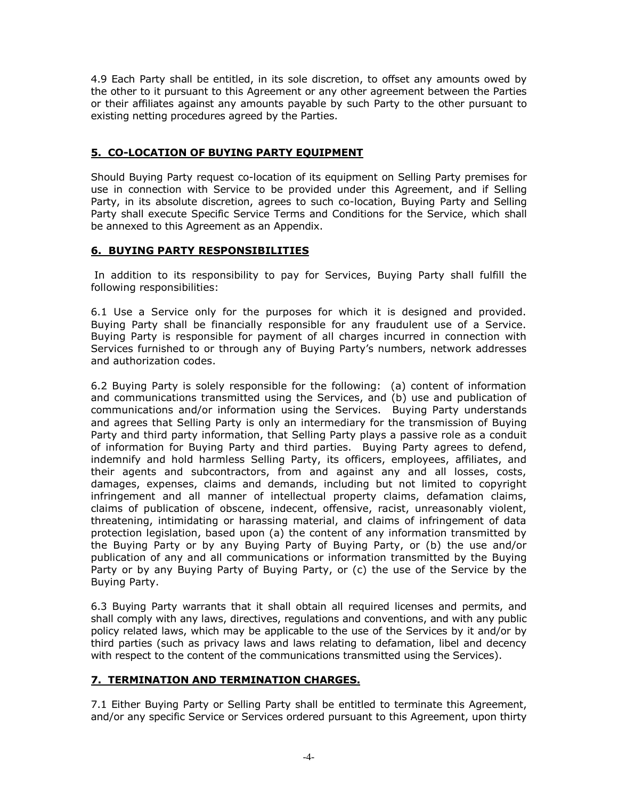4.9 Each Party shall be entitled, in its sole discretion, to offset any amounts owed by the other to it pursuant to this Agreement or any other agreement between the Parties or their affiliates against any amounts payable by such Party to the other pursuant to existing netting procedures agreed by the Parties.

# **5. CO-LOCATION OF BUYING PARTY EQUIPMENT**

Should Buying Party request co-location of its equipment on Selling Party premises for use in connection with Service to be provided under this Agreement, and if Selling Party, in its absolute discretion, agrees to such co-location, Buying Party and Selling Party shall execute Specific Service Terms and Conditions for the Service, which shall be annexed to this Agreement as an Appendix.

#### **6. BUYING PARTY RESPONSIBILITIES**

In addition to its responsibility to pay for Services, Buying Party shall fulfill the following responsibilities:

6.1 Use a Service only for the purposes for which it is designed and provided. Buying Party shall be financially responsible for any fraudulent use of a Service. Buying Party is responsible for payment of all charges incurred in connection with Services furnished to or through any of Buying Party's numbers, network addresses and authorization codes.

6.2 Buying Party is solely responsible for the following: (a) content of information and communications transmitted using the Services, and (b) use and publication of communications and/or information using the Services. Buying Party understands and agrees that Selling Party is only an intermediary for the transmission of Buying Party and third party information, that Selling Party plays a passive role as a conduit of information for Buying Party and third parties. Buying Party agrees to defend, indemnify and hold harmless Selling Party, its officers, employees, affiliates, and their agents and subcontractors, from and against any and all losses, costs, damages, expenses, claims and demands, including but not limited to copyright infringement and all manner of intellectual property claims, defamation claims, claims of publication of obscene, indecent, offensive, racist, unreasonably violent, threatening, intimidating or harassing material, and claims of infringement of data protection legislation, based upon (a) the content of any information transmitted by the Buying Party or by any Buying Party of Buying Party, or (b) the use and/or publication of any and all communications or information transmitted by the Buying Party or by any Buying Party of Buying Party, or (c) the use of the Service by the Buying Party.

6.3 Buying Party warrants that it shall obtain all required licenses and permits, and shall comply with any laws, directives, regulations and conventions, and with any public policy related laws, which may be applicable to the use of the Services by it and/or by third parties (such as privacy laws and laws relating to defamation, libel and decency with respect to the content of the communications transmitted using the Services).

#### **7. TERMINATION AND TERMINATION CHARGES.**

7.1 Either Buying Party or Selling Party shall be entitled to terminate this Agreement, and/or any specific Service or Services ordered pursuant to this Agreement, upon thirty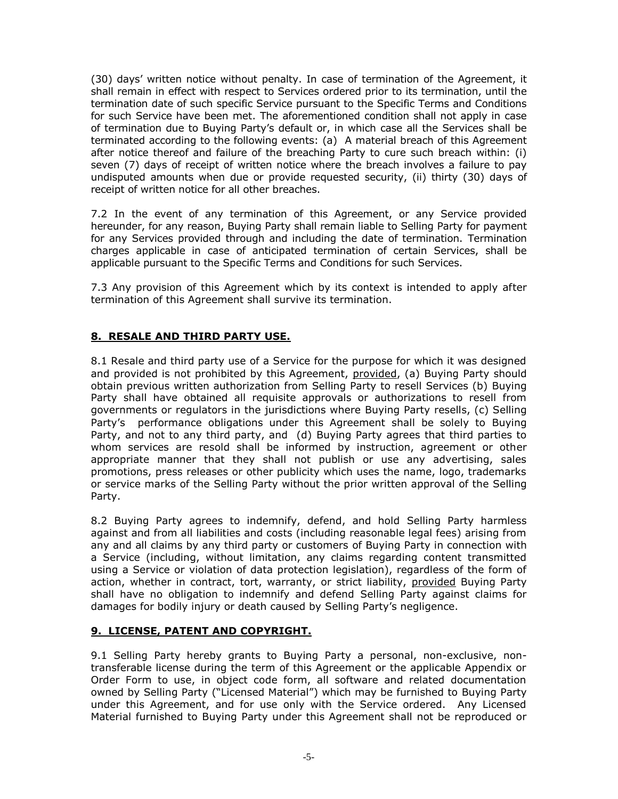(30) days' written notice without penalty. In case of termination of the Agreement, it shall remain in effect with respect to Services ordered prior to its termination, until the termination date of such specific Service pursuant to the Specific Terms and Conditions for such Service have been met. The aforementioned condition shall not apply in case of termination due to Buying Party's default or, in which case all the Services shall be terminated according to the following events: (a) A material breach of this Agreement after notice thereof and failure of the breaching Party to cure such breach within: (i) seven (7) days of receipt of written notice where the breach involves a failure to pay undisputed amounts when due or provide requested security, (ii) thirty (30) days of receipt of written notice for all other breaches.

7.2 In the event of any termination of this Agreement, or any Service provided hereunder, for any reason, Buying Party shall remain liable to Selling Party for payment for any Services provided through and including the date of termination. Termination charges applicable in case of anticipated termination of certain Services, shall be applicable pursuant to the Specific Terms and Conditions for such Services.

7.3 Any provision of this Agreement which by its context is intended to apply after termination of this Agreement shall survive its termination.

# **8. RESALE AND THIRD PARTY USE.**

8.1 Resale and third party use of a Service for the purpose for which it was designed and provided is not prohibited by this Agreement, provided, (a) Buying Party should obtain previous written authorization from Selling Party to resell Services (b) Buying Party shall have obtained all requisite approvals or authorizations to resell from governments or regulators in the jurisdictions where Buying Party resells, (c) Selling Party's performance obligations under this Agreement shall be solely to Buying Party, and not to any third party, and (d) Buying Party agrees that third parties to whom services are resold shall be informed by instruction, agreement or other appropriate manner that they shall not publish or use any advertising, sales promotions, press releases or other publicity which uses the name, logo, trademarks or service marks of the Selling Party without the prior written approval of the Selling Party.

8.2 Buying Party agrees to indemnify, defend, and hold Selling Party harmless against and from all liabilities and costs (including reasonable legal fees) arising from any and all claims by any third party or customers of Buying Party in connection with a Service (including, without limitation, any claims regarding content transmitted using a Service or violation of data protection legislation), regardless of the form of action, whether in contract, tort, warranty, or strict liability, provided Buying Party shall have no obligation to indemnify and defend Selling Party against claims for damages for bodily injury or death caused by Selling Party's negligence.

#### **9. LICENSE, PATENT AND COPYRIGHT.**

9.1 Selling Party hereby grants to Buying Party a personal, non-exclusive, nontransferable license during the term of this Agreement or the applicable Appendix or Order Form to use, in object code form, all software and related documentation owned by Selling Party ("Licensed Material") which may be furnished to Buying Party under this Agreement, and for use only with the Service ordered. Any Licensed Material furnished to Buying Party under this Agreement shall not be reproduced or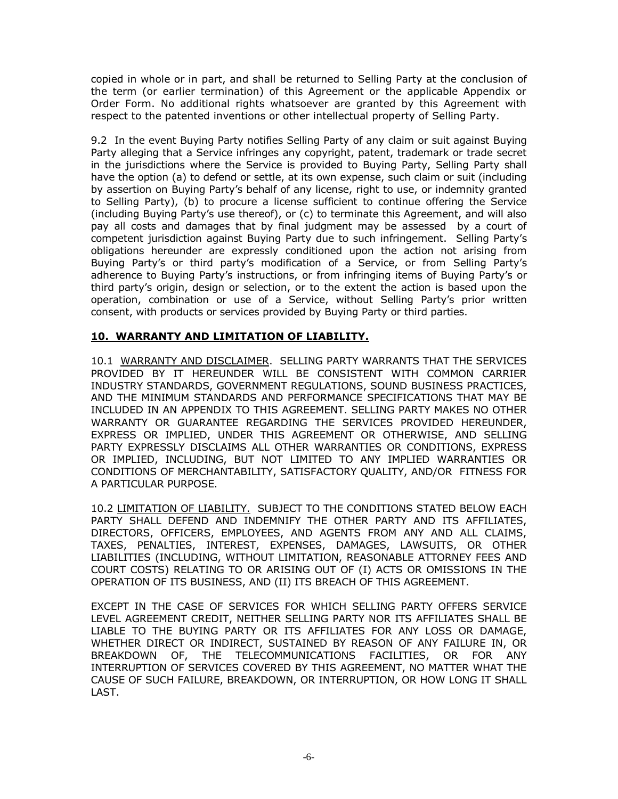copied in whole or in part, and shall be returned to Selling Party at the conclusion of the term (or earlier termination) of this Agreement or the applicable Appendix or Order Form. No additional rights whatsoever are granted by this Agreement with respect to the patented inventions or other intellectual property of Selling Party.

9.2 In the event Buying Party notifies Selling Party of any claim or suit against Buying Party alleging that a Service infringes any copyright, patent, trademark or trade secret in the jurisdictions where the Service is provided to Buying Party, Selling Party shall have the option (a) to defend or settle, at its own expense, such claim or suit (including by assertion on Buying Party's behalf of any license, right to use, or indemnity granted to Selling Party), (b) to procure a license sufficient to continue offering the Service (including Buying Party's use thereof), or (c) to terminate this Agreement, and will also pay all costs and damages that by final judgment may be assessed by a court of competent jurisdiction against Buying Party due to such infringement. Selling Party's obligations hereunder are expressly conditioned upon the action not arising from Buying Party's or third party's modification of a Service, or from Selling Party's adherence to Buying Party's instructions, or from infringing items of Buying Party's or third party's origin, design or selection, or to the extent the action is based upon the operation, combination or use of a Service, without Selling Party's prior written consent, with products or services provided by Buying Party or third parties.

# **10. WARRANTY AND LIMITATION OF LIABILITY.**

10.1 WARRANTY AND DISCLAIMER. SELLING PARTY WARRANTS THAT THE SERVICES PROVIDED BY IT HEREUNDER WILL BE CONSISTENT WITH COMMON CARRIER INDUSTRY STANDARDS, GOVERNMENT REGULATIONS, SOUND BUSINESS PRACTICES, AND THE MINIMUM STANDARDS AND PERFORMANCE SPECIFICATIONS THAT MAY BE INCLUDED IN AN APPENDIX TO THIS AGREEMENT. SELLING PARTY MAKES NO OTHER WARRANTY OR GUARANTEE REGARDING THE SERVICES PROVIDED HEREUNDER, EXPRESS OR IMPLIED, UNDER THIS AGREEMENT OR OTHERWISE, AND SELLING PARTY EXPRESSLY DISCLAIMS ALL OTHER WARRANTIES OR CONDITIONS, EXPRESS OR IMPLIED, INCLUDING, BUT NOT LIMITED TO ANY IMPLIED WARRANTIES OR CONDITIONS OF MERCHANTABILITY, SATISFACTORY QUALITY, AND/OR FITNESS FOR A PARTICULAR PURPOSE.

10.2 LIMITATION OF LIABILITY. SUBJECT TO THE CONDITIONS STATED BELOW EACH PARTY SHALL DEFEND AND INDEMNIFY THE OTHER PARTY AND ITS AFFILIATES, DIRECTORS, OFFICERS, EMPLOYEES, AND AGENTS FROM ANY AND ALL CLAIMS, TAXES, PENALTIES, INTEREST, EXPENSES, DAMAGES, LAWSUITS, OR OTHER LIABILITIES (INCLUDING, WITHOUT LIMITATION, REASONABLE ATTORNEY FEES AND COURT COSTS) RELATING TO OR ARISING OUT OF (I) ACTS OR OMISSIONS IN THE OPERATION OF ITS BUSINESS, AND (II) ITS BREACH OF THIS AGREEMENT.

EXCEPT IN THE CASE OF SERVICES FOR WHICH SELLING PARTY OFFERS SERVICE LEVEL AGREEMENT CREDIT, NEITHER SELLING PARTY NOR ITS AFFILIATES SHALL BE LIABLE TO THE BUYING PARTY OR ITS AFFILIATES FOR ANY LOSS OR DAMAGE, WHETHER DIRECT OR INDIRECT, SUSTAINED BY REASON OF ANY FAILURE IN, OR BREAKDOWN OF, THE TELECOMMUNICATIONS FACILITIES, OR FOR ANY INTERRUPTION OF SERVICES COVERED BY THIS AGREEMENT, NO MATTER WHAT THE CAUSE OF SUCH FAILURE, BREAKDOWN, OR INTERRUPTION, OR HOW LONG IT SHALL LAST.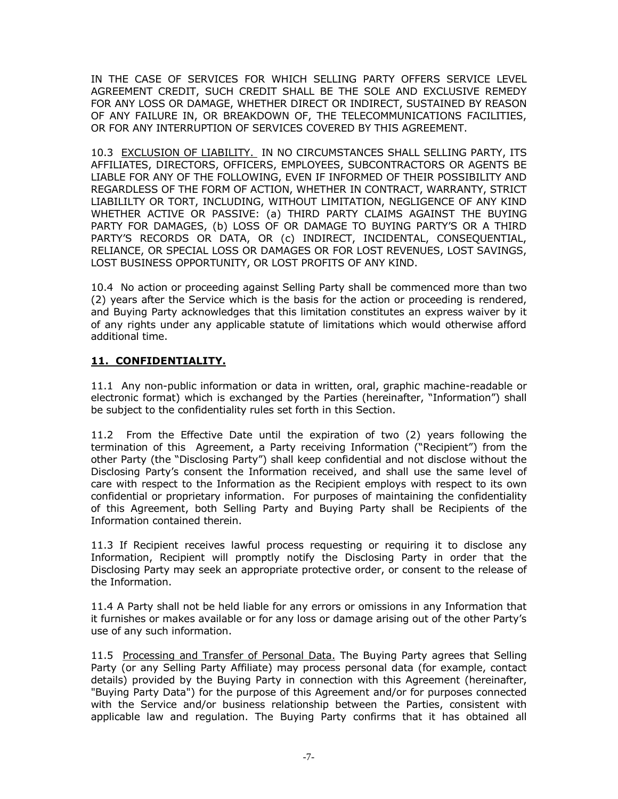IN THE CASE OF SERVICES FOR WHICH SELLING PARTY OFFERS SERVICE LEVEL AGREEMENT CREDIT, SUCH CREDIT SHALL BE THE SOLE AND EXCLUSIVE REMEDY FOR ANY LOSS OR DAMAGE, WHETHER DIRECT OR INDIRECT, SUSTAINED BY REASON OF ANY FAILURE IN, OR BREAKDOWN OF, THE TELECOMMUNICATIONS FACILITIES, OR FOR ANY INTERRUPTION OF SERVICES COVERED BY THIS AGREEMENT.

10.3 EXCLUSION OF LIABILITY. IN NO CIRCUMSTANCES SHALL SELLING PARTY, ITS AFFILIATES, DIRECTORS, OFFICERS, EMPLOYEES, SUBCONTRACTORS OR AGENTS BE LIABLE FOR ANY OF THE FOLLOWING, EVEN IF INFORMED OF THEIR POSSIBILITY AND REGARDLESS OF THE FORM OF ACTION, WHETHER IN CONTRACT, WARRANTY, STRICT LIABILILTY OR TORT, INCLUDING, WITHOUT LIMITATION, NEGLIGENCE OF ANY KIND WHETHER ACTIVE OR PASSIVE: (a) THIRD PARTY CLAIMS AGAINST THE BUYING PARTY FOR DAMAGES, (b) LOSS OF OR DAMAGE TO BUYING PARTY'S OR A THIRD PARTY'S RECORDS OR DATA, OR (c) INDIRECT, INCIDENTAL, CONSEQUENTIAL, RELIANCE, OR SPECIAL LOSS OR DAMAGES OR FOR LOST REVENUES, LOST SAVINGS, LOST BUSINESS OPPORTUNITY, OR LOST PROFITS OF ANY KIND.

10.4 No action or proceeding against Selling Party shall be commenced more than two (2) years after the Service which is the basis for the action or proceeding is rendered, and Buying Party acknowledges that this limitation constitutes an express waiver by it of any rights under any applicable statute of limitations which would otherwise afford additional time.

# **11. CONFIDENTIALITY.**

11.1 Any non-public information or data in written, oral, graphic machine-readable or electronic format) which is exchanged by the Parties (hereinafter, "Information") shall be subject to the confidentiality rules set forth in this Section.

11.2 From the Effective Date until the expiration of two (2) years following the termination of this Agreement, a Party receiving Information ("Recipient") from the other Party (the "Disclosing Party") shall keep confidential and not disclose without the Disclosing Party's consent the Information received, and shall use the same level of care with respect to the Information as the Recipient employs with respect to its own confidential or proprietary information. For purposes of maintaining the confidentiality of this Agreement, both Selling Party and Buying Party shall be Recipients of the Information contained therein.

11.3 If Recipient receives lawful process requesting or requiring it to disclose any Information, Recipient will promptly notify the Disclosing Party in order that the Disclosing Party may seek an appropriate protective order, or consent to the release of the Information.

11.4 A Party shall not be held liable for any errors or omissions in any Information that it furnishes or makes available or for any loss or damage arising out of the other Party's use of any such information.

11.5 Processing and Transfer of Personal Data. The Buying Party agrees that Selling Party (or any Selling Party Affiliate) may process personal data (for example, contact details) provided by the Buying Party in connection with this Agreement (hereinafter, "Buying Party Data") for the purpose of this Agreement and/or for purposes connected with the Service and/or business relationship between the Parties, consistent with applicable law and regulation. The Buying Party confirms that it has obtained all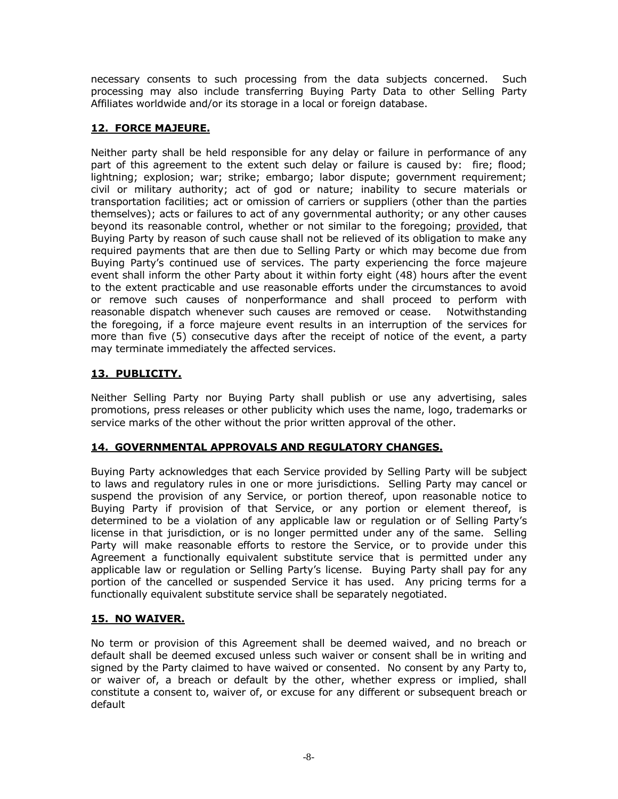necessary consents to such processing from the data subjects concerned. Such processing may also include transferring Buying Party Data to other Selling Party Affiliates worldwide and/or its storage in a local or foreign database.

# **12. FORCE MAJEURE.**

Neither party shall be held responsible for any delay or failure in performance of any part of this agreement to the extent such delay or failure is caused by: fire; flood; lightning; explosion; war; strike; embargo; labor dispute; government requirement; civil or military authority; act of god or nature; inability to secure materials or transportation facilities; act or omission of carriers or suppliers (other than the parties themselves); acts or failures to act of any governmental authority; or any other causes beyond its reasonable control, whether or not similar to the foregoing; provided, that Buying Party by reason of such cause shall not be relieved of its obligation to make any required payments that are then due to Selling Party or which may become due from Buying Party's continued use of services. The party experiencing the force majeure event shall inform the other Party about it within forty eight (48) hours after the event to the extent practicable and use reasonable efforts under the circumstances to avoid or remove such causes of nonperformance and shall proceed to perform with reasonable dispatch whenever such causes are removed or cease. Notwithstanding the foregoing, if a force majeure event results in an interruption of the services for more than five (5) consecutive days after the receipt of notice of the event, a party may terminate immediately the affected services.

# **13. PUBLICITY.**

Neither Selling Party nor Buying Party shall publish or use any advertising, sales promotions, press releases or other publicity which uses the name, logo, trademarks or service marks of the other without the prior written approval of the other.

# **14. GOVERNMENTAL APPROVALS AND REGULATORY CHANGES.**

Buying Party acknowledges that each Service provided by Selling Party will be subject to laws and regulatory rules in one or more jurisdictions. Selling Party may cancel or suspend the provision of any Service, or portion thereof, upon reasonable notice to Buying Party if provision of that Service, or any portion or element thereof, is determined to be a violation of any applicable law or regulation or of Selling Party's license in that jurisdiction, or is no longer permitted under any of the same. Selling Party will make reasonable efforts to restore the Service, or to provide under this Agreement a functionally equivalent substitute service that is permitted under any applicable law or regulation or Selling Party's license. Buying Party shall pay for any portion of the cancelled or suspended Service it has used. Any pricing terms for a functionally equivalent substitute service shall be separately negotiated.

# **15. NO WAIVER.**

No term or provision of this Agreement shall be deemed waived, and no breach or default shall be deemed excused unless such waiver or consent shall be in writing and signed by the Party claimed to have waived or consented. No consent by any Party to, or waiver of, a breach or default by the other, whether express or implied, shall constitute a consent to, waiver of, or excuse for any different or subsequent breach or default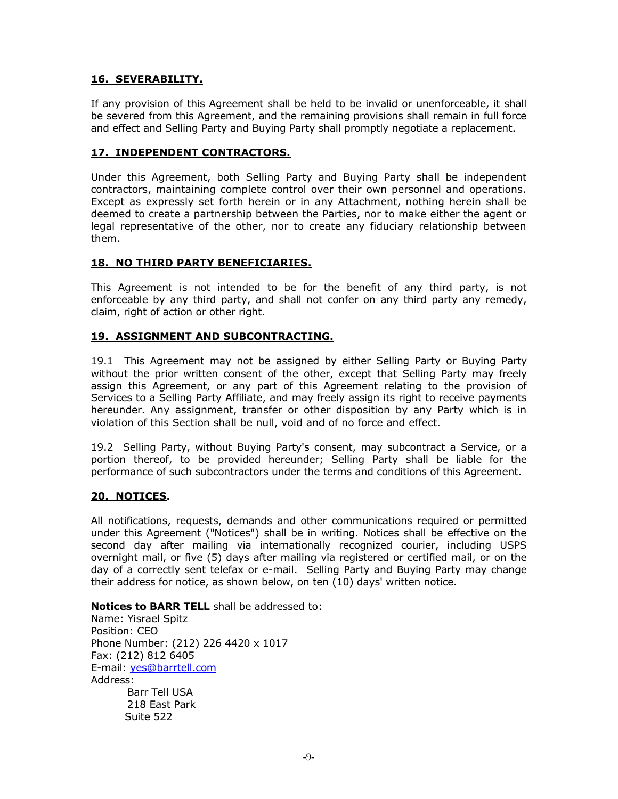#### **16. SEVERABILITY.**

If any provision of this Agreement shall be held to be invalid or unenforceable, it shall be severed from this Agreement, and the remaining provisions shall remain in full force and effect and Selling Party and Buying Party shall promptly negotiate a replacement.

#### **17. INDEPENDENT CONTRACTORS.**

Under this Agreement, both Selling Party and Buying Party shall be independent contractors, maintaining complete control over their own personnel and operations. Except as expressly set forth herein or in any Attachment, nothing herein shall be deemed to create a partnership between the Parties, nor to make either the agent or legal representative of the other, nor to create any fiduciary relationship between them.

#### **18. NO THIRD PARTY BENEFICIARIES.**

This Agreement is not intended to be for the benefit of any third party, is not enforceable by any third party, and shall not confer on any third party any remedy, claim, right of action or other right.

#### **19. ASSIGNMENT AND SUBCONTRACTING.**

19.1 This Agreement may not be assigned by either Selling Party or Buying Party without the prior written consent of the other, except that Selling Party may freely assign this Agreement, or any part of this Agreement relating to the provision of Services to a Selling Party Affiliate, and may freely assign its right to receive payments hereunder. Any assignment, transfer or other disposition by any Party which is in violation of this Section shall be null, void and of no force and effect.

19.2 Selling Party, without Buying Party's consent, may subcontract a Service, or a portion thereof, to be provided hereunder; Selling Party shall be liable for the performance of such subcontractors under the terms and conditions of this Agreement.

#### **20. NOTICES.**

All notifications, requests, demands and other communications required or permitted under this Agreement ("Notices") shall be in writing. Notices shall be effective on the second day after mailing via internationally recognized courier, including USPS overnight mail, or five (5) days after mailing via registered or certified mail, or on the day of a correctly sent telefax or e-mail. Selling Party and Buying Party may change their address for notice, as shown below, on ten (10) days' written notice.

**Notices to BARR TELL** shall be addressed to:

Name: Yisrael Spitz Position: CEO Phone Number: (212) 226 4420 x 1017 Fax: (212) 812 6405 E-mail: yes@barrtell.com Address: Barr Tell USA 218 East Park Suite 522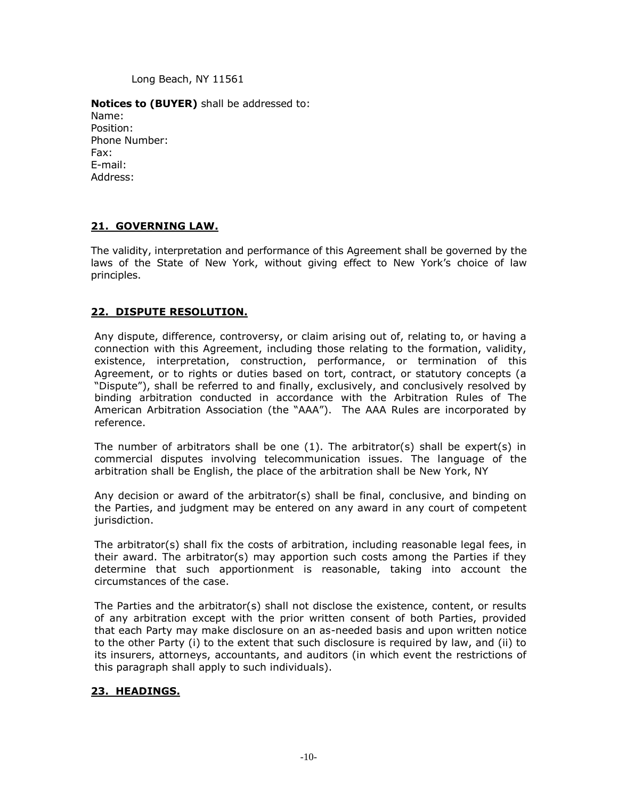Long Beach, NY 11561

#### **Notices to (BUYER)** shall be addressed to:

Name: Position: Phone Number: Fax: E-mail: Address:

#### **21. GOVERNING LAW.**

The validity, interpretation and performance of this Agreement shall be governed by the laws of the State of New York, without giving effect to New York's choice of law principles.

#### **22. DISPUTE RESOLUTION.**

Any dispute, difference, controversy, or claim arising out of, relating to, or having a connection with this Agreement, including those relating to the formation, validity, existence, interpretation, construction, performance, or termination of this Agreement, or to rights or duties based on tort, contract, or statutory concepts (a "Dispute"), shall be referred to and finally, exclusively, and conclusively resolved by binding arbitration conducted in accordance with the Arbitration Rules of The American Arbitration Association (the "AAA"). The AAA Rules are incorporated by reference.

The number of arbitrators shall be one  $(1)$ . The arbitrator(s) shall be expert(s) in commercial disputes involving telecommunication issues. The language of the arbitration shall be English, the place of the arbitration shall be New York, NY

Any decision or award of the arbitrator(s) shall be final, conclusive, and binding on the Parties, and judgment may be entered on any award in any court of competent jurisdiction.

The arbitrator(s) shall fix the costs of arbitration, including reasonable legal fees, in their award. The arbitrator(s) may apportion such costs among the Parties if they determine that such apportionment is reasonable, taking into account the circumstances of the case.

The Parties and the arbitrator(s) shall not disclose the existence, content, or results of any arbitration except with the prior written consent of both Parties, provided that each Party may make disclosure on an as-needed basis and upon written notice to the other Party (i) to the extent that such disclosure is required by law, and (ii) to its insurers, attorneys, accountants, and auditors (in which event the restrictions of this paragraph shall apply to such individuals).

#### **23. HEADINGS.**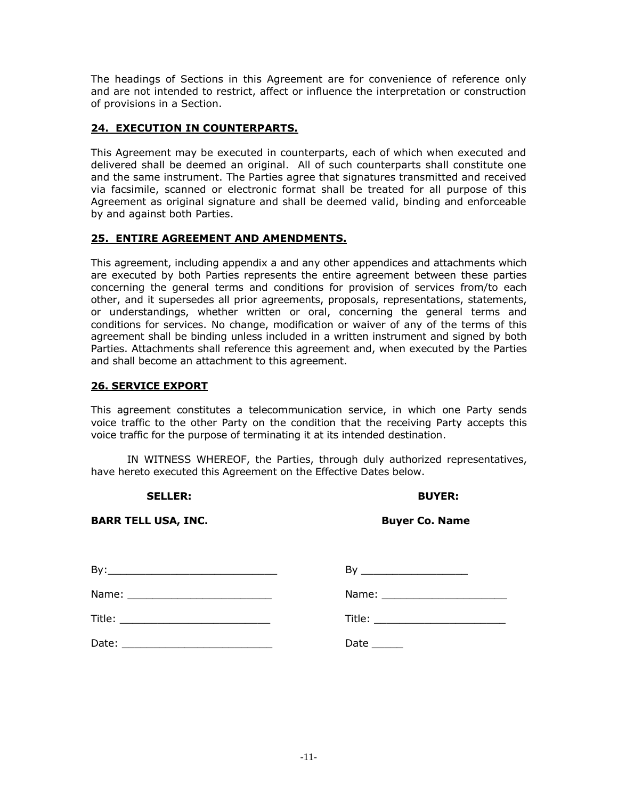The headings of Sections in this Agreement are for convenience of reference only and are not intended to restrict, affect or influence the interpretation or construction of provisions in a Section.

# **24. EXECUTION IN COUNTERPARTS.**

This Agreement may be executed in counterparts, each of which when executed and delivered shall be deemed an original. All of such counterparts shall constitute one and the same instrument. The Parties agree that signatures transmitted and received via facsimile, scanned or electronic format shall be treated for all purpose of this Agreement as original signature and shall be deemed valid, binding and enforceable by and against both Parties.

#### **25. ENTIRE AGREEMENT AND AMENDMENTS.**

This agreement, including appendix a and any other appendices and attachments which are executed by both Parties represents the entire agreement between these parties concerning the general terms and conditions for provision of services from/to each other, and it supersedes all prior agreements, proposals, representations, statements, or understandings, whether written or oral, concerning the general terms and conditions for services. No change, modification or waiver of any of the terms of this agreement shall be binding unless included in a written instrument and signed by both Parties. Attachments shall reference this agreement and, when executed by the Parties and shall become an attachment to this agreement.

#### **26. SERVICE EXPORT**

This agreement constitutes a telecommunication service, in which one Party sends voice traffic to the other Party on the condition that the receiving Party accepts this voice traffic for the purpose of terminating it at its intended destination.

IN WITNESS WHEREOF, the Parties, through duly authorized representatives, have hereto executed this Agreement on the Effective Dates below.

 **SELLER: BUYER:**

**BARR TELL USA, INC. BARR TELL USA, INC. BUYER CO. Name** 

| By:<br>the control of the control of the control of the control of the control of the control of   | By<br>the control of the control of the control of the control of the control of |
|----------------------------------------------------------------------------------------------------|----------------------------------------------------------------------------------|
|                                                                                                    | Name: __________________________                                                 |
|                                                                                                    | Title: ________________________                                                  |
| Date:<br>the control of the control of the control of the control of the control of the control of | Date $\rule{1em}{0.15mm}$                                                        |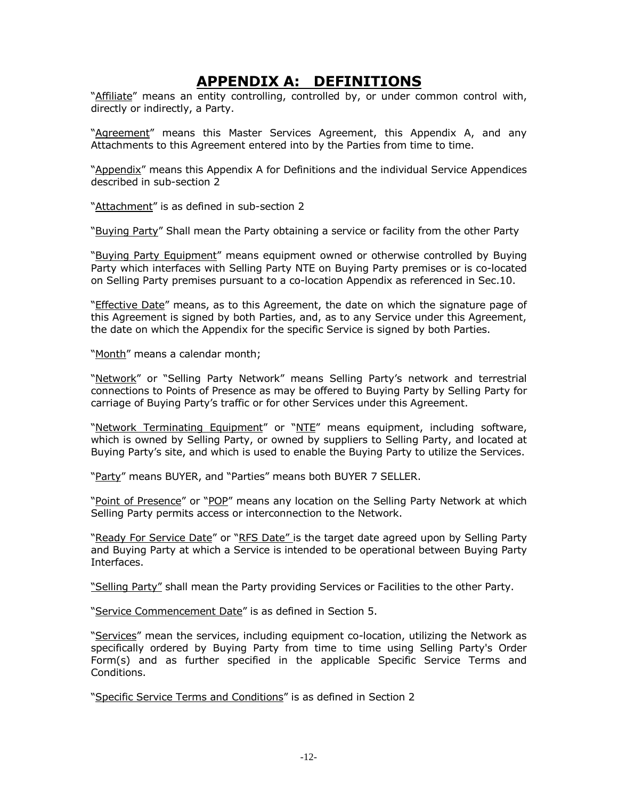# **APPENDIX A: DEFINITIONS**

"Affiliate" means an entity controlling, controlled by, or under common control with, directly or indirectly, a Party.

"Agreement" means this Master Services Agreement, this Appendix A, and any Attachments to this Agreement entered into by the Parties from time to time.

"Appendix" means this Appendix A for Definitions and the individual Service Appendices described in sub-section 2

"Attachment" is as defined in sub-section 2

"Buying Party" Shall mean the Party obtaining a service or facility from the other Party

"Buying Party Equipment" means equipment owned or otherwise controlled by Buying Party which interfaces with Selling Party NTE on Buying Party premises or is co-located on Selling Party premises pursuant to a co-location Appendix as referenced in Sec.10.

"Effective Date" means, as to this Agreement, the date on which the signature page of this Agreement is signed by both Parties, and, as to any Service under this Agreement, the date on which the Appendix for the specific Service is signed by both Parties.

"Month" means a calendar month;

"Network" or "Selling Party Network" means Selling Party's network and terrestrial connections to Points of Presence as may be offered to Buying Party by Selling Party for carriage of Buying Party's traffic or for other Services under this Agreement.

"Network Terminating Equipment" or "NTE" means equipment, including software, which is owned by Selling Party, or owned by suppliers to Selling Party, and located at Buying Party's site, and which is used to enable the Buying Party to utilize the Services.

"Party" means BUYER, and "Parties" means both BUYER 7 SELLER.

"Point of Presence" or "POP" means any location on the Selling Party Network at which Selling Party permits access or interconnection to the Network.

"Ready For Service Date" or "RFS Date" is the target date agreed upon by Selling Party and Buying Party at which a Service is intended to be operational between Buying Party Interfaces.

"Selling Party" shall mean the Party providing Services or Facilities to the other Party.

"Service Commencement Date" is as defined in Section 5.

"Services" mean the services, including equipment co-location, utilizing the Network as specifically ordered by Buying Party from time to time using Selling Party's Order Form(s) and as further specified in the applicable Specific Service Terms and Conditions.

"Specific Service Terms and Conditions" is as defined in Section 2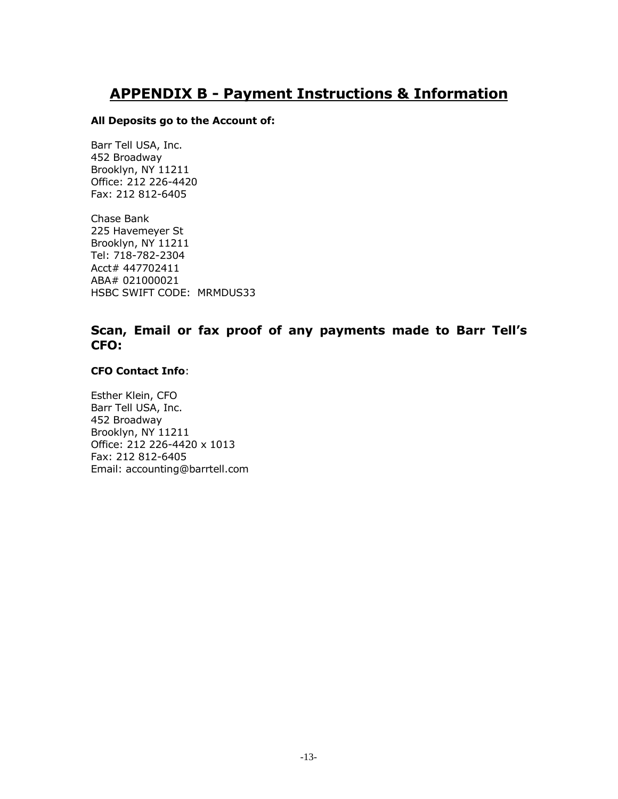# **APPENDIX B - Payment Instructions & Information**

#### **All Deposits go to the Account of:**

Barr Tell USA, Inc. 452 Broadway Brooklyn, NY 11211 Office: 212 226-4420 Fax: 212 812-6405

Chase Bank 225 Havemeyer St Brooklyn, NY 11211 Tel: 718-782-2304 Acct# 447702411 ABA# 021000021 HSBC SWIFT CODE: MRMDUS33

# **Scan, Email or fax proof of any payments made to Barr Tell's CFO:**

#### **CFO Contact Info**:

Esther Klein, CFO Barr Tell USA, Inc. 452 Broadway Brooklyn, NY 11211 Office: 212 226-4420 x 1013 Fax: 212 812-6405 Email: accounting@barrtell.com